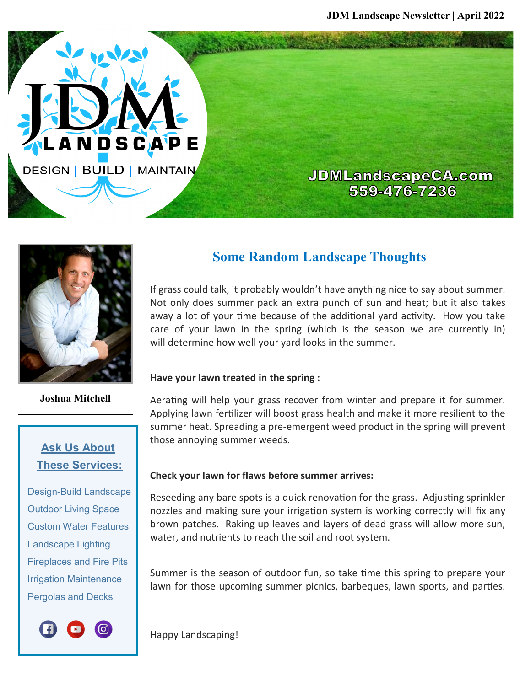**JDMLandscapeCA.com** 559-476-7236



LANDSCAP

**DESIGN | BUILD | MAINTAIN** 

**Joshua Mitchell**

## **Ask Us About These Services:**

 Design-Build Landscape Outdoor Living Space Custom Water Features Landscape Lighting Fireplaces and Fire Pits Irrigation Maintenance Pergolas and Decks



## **Some Random Landscape Thoughts**

If grass could talk, it probably wouldn't have anything nice to say about summer. Not only does summer pack an extra punch of sun and heat; but it also takes away a lot of your time because of the additional yard activity. How you take care of your lawn in the spring (which is the season we are currently in) will determine how well your yard looks in the summer.

#### **Have your lawn treated in the spring :**

Aerating will help your grass recover from winter and prepare it for summer. Applying lawn fertilizer will boost grass health and make it more resilient to the summer heat. Spreading a pre-emergent weed product in the spring will prevent those annoying summer weeds.

### **Check your lawn for flaws before summer arrives:**

Reseeding any bare spots is a quick renovation for the grass. Adjusting sprinkler nozzles and making sure your irrigation system is working correctly will fix any brown patches. Raking up leaves and layers of dead grass will allow more sun, water, and nutrients to reach the soil and root system.

Summer is the season of outdoor fun, so take time this spring to prepare your lawn for those upcoming summer picnics, barbeques, lawn sports, and parties.

Happy Landscaping!